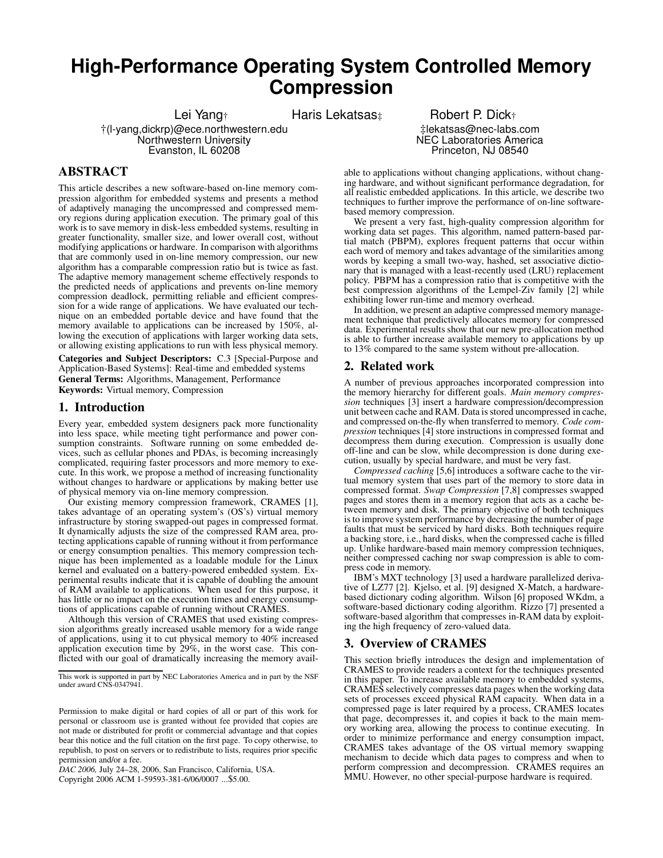# **High-Performance Operating System Controlled Memory Compression**

Lei Yang<sub>†</sub> Haris Lekatsas<sub>‡</sub> Robert P. Dick<sub>†</sub>

†(l-yang,dickrp)@ece.northwestern.edu Northwestern University Evanston, IL 60208

# **ABSTRACT**

This article describes a new software-based on-line memory compression algorithm for embedded systems and presents a method of adaptively managing the uncompressed and compressed memory regions during application execution. The primary goal of this work is to save memory in disk-less embedded systems, resulting in greater functionality, smaller size, and lower overall cost, without modifying applications or hardware. In comparison with algorithms that are commonly used in on-line memory compression, our new algorithm has a comparable compression ratio but is twice as fast. The adaptive memory management scheme effectively responds to the predicted needs of applications and prevents on-line memory compression deadlock, permitting reliable and efficient compression for a wide range of applications. We have evaluated our technique on an embedded portable device and have found that the memory available to applications can be increased by 150%, allowing the execution of applications with larger working data sets, or allowing existing applications to run with less physical memory.

**Categories and Subject Descriptors:** C.3 [Special-Purpose and Application-Based Systems]: Real-time and embedded systems **General Terms:** Algorithms, Management, Performance **Keywords:** Virtual memory, Compression

# **1. Introduction**

Every year, embedded system designers pack more functionality into less space, while meeting tight performance and power consumption constraints. Software running on some embedded devices, such as cellular phones and PDAs, is becoming increasingly complicated, requiring faster processors and more memory to execute. In this work, we propose a method of increasing functionality without changes to hardware or applications by making better use of physical memory via on-line memory compression.

Our existing memory compression framework, CRAMES [1], takes advantage of an operating system's (OS's) virtual memory infrastructure by storing swapped-out pages in compressed format. It dynamically adjusts the size of the compressed RAM area, protecting applications capable of running without it from performance or energy consumption penalties. This memory compression technique has been implemented as a loadable module for the Linux kernel and evaluated on a battery-powered embedded system. Experimental results indicate that it is capable of doubling the amount of RAM available to applications. When used for this purpose, it has little or no impact on the execution times and energy consumptions of applications capable of running without CRAMES.

Although this version of CRAMES that used existing compression algorithms greatly increased usable memory for a wide range of applications, using it to cut physical memory to 40% increased application execution time by 29%, in the worst case. This conflicted with our goal of dramatically increasing the memory avail-

*DAC 2006,* July 24–28, 2006, San Francisco, California, USA.

Copyright 2006 ACM 1-59593-381-6/06/0007 ...\$5.00.

‡lekatsas@nec-labs.com NEC Laboratories America Princeton, NJ 08540

able to applications without changing applications, without changing hardware, and without significant performance degradation, for all realistic embedded applications. In this article, we describe two techniques to further improve the performance of on-line softwarebased memory compression.

We present a very fast, high-quality compression algorithm for working data set pages. This algorithm, named pattern-based partial match (PBPM), explores frequent patterns that occur within each word of memory and takes advantage of the similarities among words by keeping a small two-way, hashed, set associative dictionary that is managed with a least-recently used (LRU) replacement policy. PBPM has a compression ratio that is competitive with the best compression algorithms of the Lempel-Ziv family [2] while exhibiting lower run-time and memory overhead.

In addition, we present an adaptive compressed memory management technique that predictively allocates memory for compressed data. Experimental results show that our new pre-allocation method is able to further increase available memory to applications by up to 13% compared to the same system without pre-allocation.

# **2. Related work**

A number of previous approaches incorporated compression into the memory hierarchy for different goals. *Main memory compression* techniques [3] insert a hardware compression/decompression unit between cache and RAM. Data is stored uncompressed in cache, and compressed on-the-fly when transferred to memory. *Code compression* techniques [4] store instructions in compressed format and decompress them during execution. Compression is usually done off-line and can be slow, while decompression is done during execution, usually by special hardware, and must be very fast.

*Compressed caching* [5,6] introduces a software cache to the virtual memory system that uses part of the memory to store data in compressed format. *Swap Compression* [7,8] compresses swapped pages and stores them in a memory region that acts as a cache between memory and disk. The primary objective of both techniques is to improve system performance by decreasing the number of page faults that must be serviced by hard disks. Both techniques require a backing store, i.e., hard disks, when the compressed cache is filled up. Unlike hardware-based main memory compression techniques, neither compressed caching nor swap compression is able to compress code in memory.

IBM's MXT technology [3] used a hardware parallelized derivative of LZ77 [2]. Kjelso, et al. [9] designed X-Match, a hardwarebased dictionary coding algorithm. Wilson [6] proposed WKdm, a software-based dictionary coding algorithm. Rizzo [7] presented a software-based algorithm that compresses in-RAM data by exploiting the high frequency of zero-valued data.

# **3. Overview of CRAMES**

This section briefly introduces the design and implementation of CRAMES to provide readers a context for the techniques presented in this paper. To increase available memory to embedded systems, CRAMES selectively compresses data pages when the working data sets of processes exceed physical RAM capacity. When data in a compressed page is later required by a process, CRAMES locates that page, decompresses it, and copies it back to the main memory working area, allowing the process to continue executing. In order to minimize performance and energy consumption impact, CRAMES takes advantage of the OS virtual memory swapping mechanism to decide which data pages to compress and when to perform compression and decompression. CRAMES requires an MMU. However, no other special-purpose hardware is required.

This work is supported in part by NEC Laboratories America and in part by the NSF under award CNS-0347941.

Permission to make digital or hard copies of all or part of this work for personal or classroom use is granted without fee provided that copies are not made or distributed for profit or commercial advantage and that copies bear this notice and the full citation on the first page. To copy otherwise, to republish, to post on servers or to redistribute to lists, requires prior specific permission and/or a fee.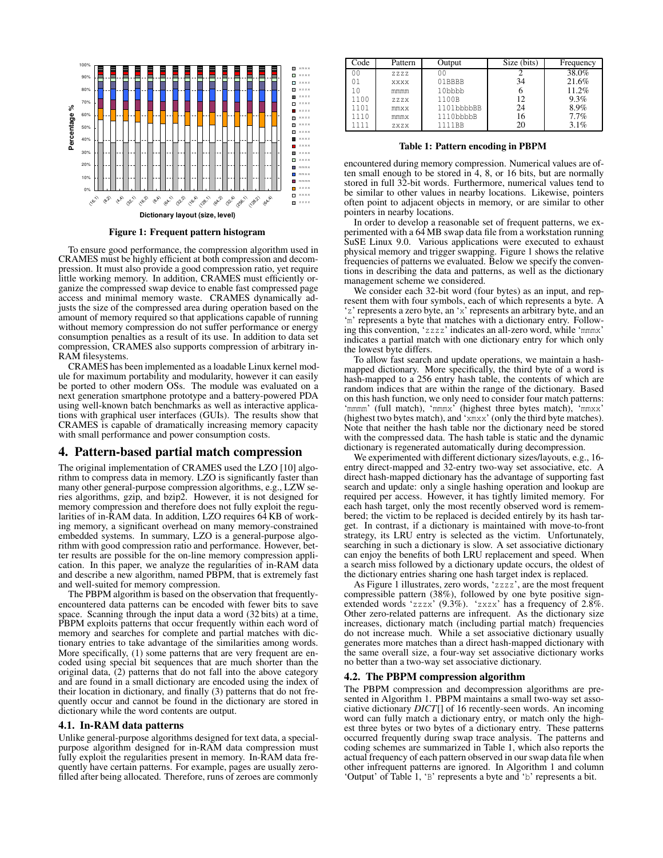

**Figure 1: Frequent pattern histogram**

To ensure good performance, the compression algorithm used in CRAMES must be highly efficient at both compression and decompression. It must also provide a good compression ratio, yet require little working memory. In addition, CRAMES must efficiently organize the compressed swap device to enable fast compressed page access and minimal memory waste. CRAMES dynamically adjusts the size of the compressed area during operation based on the amount of memory required so that applications capable of running without memory compression do not suffer performance or energy consumption penalties as a result of its use. In addition to data set compression, CRAMES also supports compression of arbitrary in-RAM filesystems.

CRAMES has been implemented as a loadable Linux kernel module for maximum portability and modularity, however it can easily be ported to other modern OSs. The module was evaluated on a next generation smartphone prototype and a battery-powered PDA using well-known batch benchmarks as well as interactive applications with graphical user interfaces (GUIs). The results show that CRAMES is capable of dramatically increasing memory capacity with small performance and power consumption costs.

# **4. Pattern-based partial match compression**

The original implementation of CRAMES used the LZO [10] algorithm to compress data in memory. LZO is significantly faster than many other general-purpose compression algorithms, e.g., LZW series algorithms, gzip, and bzip2. However, it is not designed for memory compression and therefore does not fully exploit the regularities of in-RAM data. In addition, LZO requires 64 KB of working memory, a significant overhead on many memory-constrained embedded systems. In summary, LZO is a general-purpose algorithm with good compression ratio and performance. However, better results are possible for the on-line memory compression application. In this paper, we analyze the regularities of in-RAM data and describe a new algorithm, named PBPM, that is extremely fast and well-suited for memory compression.

The PBPM algorithm is based on the observation that frequentlyencountered data patterns can be encoded with fewer bits to save space. Scanning through the input data a word (32 bits) at a time, PBPM exploits patterns that occur frequently within each word of memory and searches for complete and partial matches with dictionary entries to take advantage of the similarities among words. More specifically, (1) some patterns that are very frequent are encoded using special bit sequences that are much shorter than the original data, (2) patterns that do not fall into the above category and are found in a small dictionary are encoded using the index of their location in dictionary, and finally (3) patterns that do not frequently occur and cannot be found in the dictionary are stored in dictionary while the word contents are output.

#### **4.1. In-RAM data patterns**

Unlike general-purpose algorithms designed for text data, a specialpurpose algorithm designed for in-RAM data compression must fully exploit the regularities present in memory. In-RAM data frequently have certain patterns. For example, pages are usually zerofilled after being allocated. Therefore, runs of zeroes are commonly

| Code | Pattern | Output     | Size (bits) | Frequency |
|------|---------|------------|-------------|-----------|
| 00   | ZZZZ    | 00         |             | 38.0%     |
| 01   | XXXX    | 01BBBB     | 34          | 21.6%     |
|      | mmmm    | 10bbbb     |             | 11.2%     |
| 1100 | ZZZX    | 1100B      | 12          | 9.3%      |
| 1101 | mmxx    | 1101bbbbBB | 24          | 8.9%      |
| 1110 | mmmx    | 1110bbbbB  | 16          | 7.7%      |
| 1111 | ZXZX    | 1111BB     | 20          | 3.1%      |

**Table 1: Pattern encoding in PBPM**

encountered during memory compression. Numerical values are often small enough to be stored in 4, 8, or 16 bits, but are normally stored in full 32-bit words. Furthermore, numerical values tend to be similar to other values in nearby locations. Likewise, pointers often point to adjacent objects in memory, or are similar to other pointers in nearby locations.

In order to develop a reasonable set of frequent patterns, we experimented with a 64 MB swap data file from a workstation running SuSE Linux 9.0. Various applications were executed to exhaust physical memory and trigger swapping. Figure 1 shows the relative frequencies of patterns we evaluated. Below we specify the conventions in describing the data and patterns, as well as the dictionary management scheme we considered.

We consider each 32-bit word (four bytes) as an input, and represent them with four symbols, each of which represents a byte. A 'z' represents a zero byte, an 'x' represents an arbitrary byte, and an 'm' represents a byte that matches with a dictionary entry. Following this convention, 'zzzz' indicates an all-zero word, while 'mmmx' indicates a partial match with one dictionary entry for which only the lowest byte differs.

To allow fast search and update operations, we maintain a hashmapped dictionary. More specifically, the third byte of a word is hash-mapped to a 256 entry hash table, the contents of which are random indices that are within the range of the dictionary. Based on this hash function, we only need to consider four match patterns: 'mmmm' (full match), 'mmmx' (highest three bytes match), 'mmxx' (highest two bytes match), and 'xmxx' (only the third byte matches). Note that neither the hash table nor the dictionary need be stored with the compressed data. The hash table is static and the dynamic dictionary is regenerated automatically during decompression.

We experimented with different dictionary sizes/layouts, e.g., 16entry direct-mapped and 32-entry two-way set associative, etc. A direct hash-mapped dictionary has the advantage of supporting fast search and update: only a single hashing operation and lookup are required per access. However, it has tightly limited memory. For each hash target, only the most recently observed word is remembered; the victim to be replaced is decided entirely by its hash target. In contrast, if a dictionary is maintained with move-to-front strategy, its LRU entry is selected as the victim. Unfortunately, searching in such a dictionary is slow. A set associative dictionary can enjoy the benefits of both LRU replacement and speed. When a search miss followed by a dictionary update occurs, the oldest of the dictionary entries sharing one hash target index is replaced.

As Figure 1 illustrates, zero words, 'zzzz', are the most frequent compressible pattern (38%), followed by one byte positive signextended words 'zzzx' (9.3%). 'zxzx' has a frequency of 2.8%. Other zero-related patterns are infrequent. As the dictionary size increases, dictionary match (including partial match) frequencies do not increase much. While a set associative dictionary usually generates more matches than a direct hash-mapped dictionary with the same overall size, a four-way set associative dictionary works no better than a two-way set associative dictionary.

#### **4.2. The PBPM compression algorithm**

The PBPM compression and decompression algorithms are presented in Algorithm 1. PBPM maintains a small two-way set associative dictionary *DICT*[] of 16 recently-seen words. An incoming word can fully match a dictionary entry, or match only the highest three bytes or two bytes of a dictionary entry. These patterns occurred frequently during swap trace analysis. The patterns and coding schemes are summarized in Table 1, which also reports the actual frequency of each pattern observed in our swap data file when other infrequent patterns are ignored. In Algorithm 1 and column 'Output' of Table 1, 'B' represents a byte and 'b' represents a bit.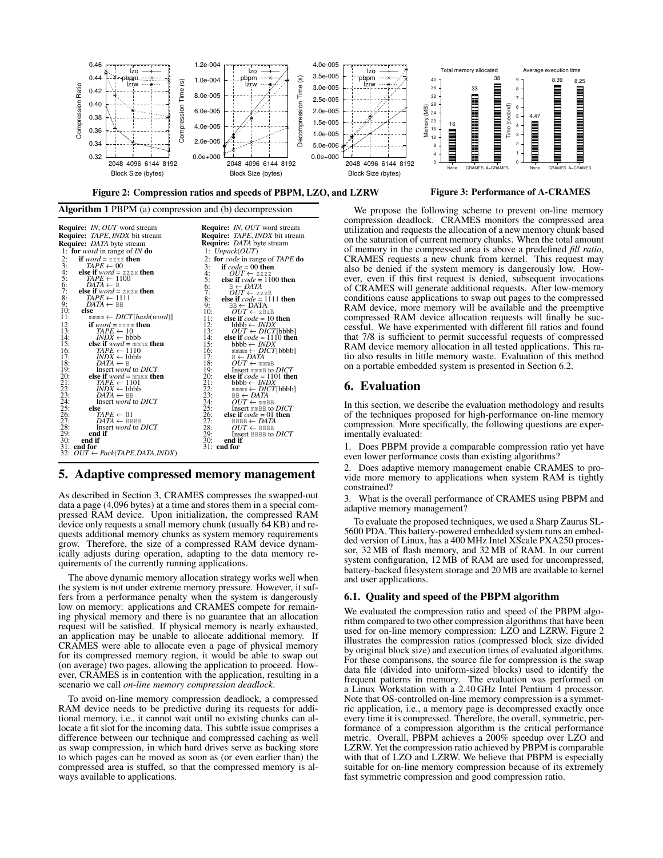

**Algorithm 1** PBPM (a) compression and (b) decompression



### **5. Adaptive compressed memory management**

As described in Section 3, CRAMES compresses the swapped-out data a page (4,096 bytes) at a time and stores them in a special compressed RAM device. Upon initialization, the compressed RAM device only requests a small memory chunk (usually 64 KB) and requests additional memory chunks as system memory requirements grow. Therefore, the size of a compressed RAM device dynamically adjusts during operation, adapting to the data memory requirements of the currently running applications.

The above dynamic memory allocation strategy works well when the system is not under extreme memory pressure. However, it suffers from a performance penalty when the system is dangerously low on memory: applications and CRAMES compete for remaining physical memory and there is no guarantee that an allocation request will be satisfied. If physical memory is nearly exhausted, an application may be unable to allocate additional memory. If CRAMES were able to allocate even a page of physical memory for its compressed memory region, it would be able to swap out (on average) two pages, allowing the application to proceed. However, CRAMES is in contention with the application, resulting in a scenario we call *on-line memory compression deadlock*.

To avoid on-line memory compression deadlock, a compressed RAM device needs to be predictive during its requests for additional memory, i.e., it cannot wait until no existing chunks can allocate a fit slot for the incoming data. This subtle issue comprises a difference between our technique and compressed caching as well as swap compression, in which hard drives serve as backing store to which pages can be moved as soon as (or even earlier than) the compressed area is stuffed, so that the compressed memory is always available to applications.

**Figure 3: Performance of A-CRAMES**

We propose the following scheme to prevent on-line memory compression deadlock. CRAMES monitors the compressed area utilization and requests the allocation of a new memory chunk based on the saturation of current memory chunks. When the total amount of memory in the compressed area is above a predefined *fill ratio*, CRAMES requests a new chunk from kernel. This request may also be denied if the system memory is dangerously low. However, even if this first request is denied, subsequent invocations of CRAMES will generate additional requests. After low-memory conditions cause applications to swap out pages to the compressed RAM device, more memory will be available and the preemptive compressed RAM device allocation requests will finally be successful. We have experimented with different fill ratios and found that 7/8 is sufficient to permit successful requests of compressed RAM device memory allocation in all tested applications. This ratio also results in little memory waste. Evaluation of this method on a portable embedded system is presented in Section 6.2.

# **6. Evaluation**

In this section, we describe the evaluation methodology and results of the techniques proposed for high-performance on-line memory compression. More specifically, the following questions are experimentally evaluated:

1. Does PBPM provide a comparable compression ratio yet have even lower performance costs than existing algorithms?

Does adaptive memory management enable CRAMES to provide more memory to applications when system RAM is tightly constrained?

3. What is the overall performance of CRAMES using PBPM and adaptive memory management?

To evaluate the proposed techniques, we used a Sharp Zaurus SL-5600 PDA. This battery-powered embedded system runs an embedded version of Linux, has a 400 MHz Intel XScale PXA250 processor, 32 MB of flash memory, and 32 MB of RAM. In our current system configuration, 12 MB of RAM are used for uncompressed, battery-backed filesystem storage and 20 MB are available to kernel and user applications.

#### **6.1. Quality and speed of the PBPM algorithm**

We evaluated the compression ratio and speed of the PBPM algorithm compared to two other compression algorithms that have been used for on-line memory compression: LZO and LZRW. Figure 2 illustrates the compression ratios (compressed block size divided by original block size) and execution times of evaluated algorithms. For these comparisons, the source file for compression is the swap data file (divided into uniform-sized blocks) used to identify the frequent patterns in memory. The evaluation was performed on a Linux Workstation with a 2.40 GHz Intel Pentium 4 processor. Note that OS-controlled on-line memory compression is a symmetric application, i.e., a memory page is decompressed exactly once every time it is compressed. Therefore, the overall, symmetric, performance of a compression algorithm is the critical performance metric. Overall, PBPM achieves a 200% speedup over LZO and LZRW. Yet the compression ratio achieved by PBPM is comparable with that of LZO and LZRW. We believe that PBPM is especially suitable for on-line memory compression because of its extremely fast symmetric compression and good compression ratio.